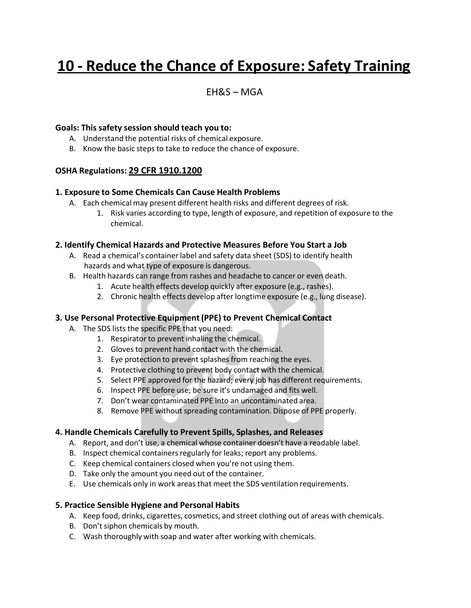# **10 - Reduce the Chance of Exposure: Safety Training**

## EH&S – MGA

#### **Goals: This safety session should teach you to:**

- A. Understand the potential risks of chemical exposure.
- B. Know the basic steps to take to reduce the chance of exposure.

#### **OSHA Regulations: 29 CFR 1910.1200**

#### **1. Exposure to Some Chemicals Can Cause Health Problems**

- A. Each chemical may present different health risks and different degrees of risk.
	- 1. Risk varies according to type, length of exposure, and repetition of exposure to the chemical.

#### **2. Identify Chemical Hazards and Protective Measures Before You Start a Job**

- A. Read a chemical's container label and safety data sheet (SDS) to identify health hazards and what type of exposure is dangerous.
- B. Health hazards can range from rashes and headache to cancer or even death.
	- 1. Acute health effects develop quickly after exposure (e.g., rashes).
	- 2. Chronic health effects develop after longtime exposure (e.g., lung disease).

#### **3. Use Personal Protective Equipment(PPE) to Prevent Chemical Contact**

- A. The SDS lists the specific PPE that you need:
	- 1. Respirator to prevent inhaling the chemical.
	- 2. Gloves to prevent hand contact with the chemical.
	- 3. Eye protection to prevent splashes from reaching the eyes.
	- 4. Protective clothing to prevent body contact with the chemical.
	- 5. Select PPE approved for the hazard; every job has different requirements.
	- 6. Inspect PPE before use; be sure it's undamaged and fits well.
	- 7. Don't wear contaminated PPE into an uncontaminated area.
	- 8. Remove PPE without spreading contamination. Dispose of PPE properly.

#### **4. Handle Chemicals Carefully to Prevent Spills, Splashes, and Releases**

- A. Report, and don't use, a chemical whose container doesn't have a readable label.
- B. Inspect chemical containers regularly for leaks; report any problems.
- C. Keep chemical containers closed when you're not using them.
- D. Take only the amount you need out of the container.
- E. Use chemicals only in work areas that meet the SDS ventilation requirements.

#### **5. Practice Sensible Hygiene and Personal Habits**

- A. Keep food, drinks, cigarettes, cosmetics, and street clothing out of areas with chemicals.
- B. Don't siphon chemicals by mouth.
- C. Wash thoroughly with soap and water after working with chemicals.